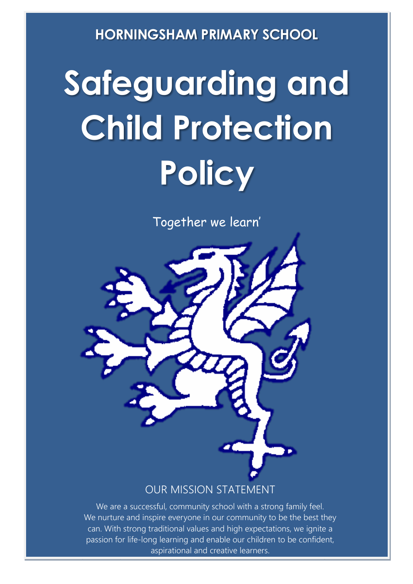**HORNINGSHAM PRIMARY SCHOOL**

# **Safeguarding and Child Protection Policy**

Together we learn'



OUR MISSION STATEMENT

Horningsham Primary School Child Protection Policy October 2021 Page 1 of 15 of 15 of 15 of 15 of 15 of 15 of 1 We are a successful, community school with a strong family feel. We nurture and inspire everyone in our community to be the best they can. With strong traditional values and high expectations, we ignite a passion for life-long learning and enable our children to be confident, aspirational and creative learners.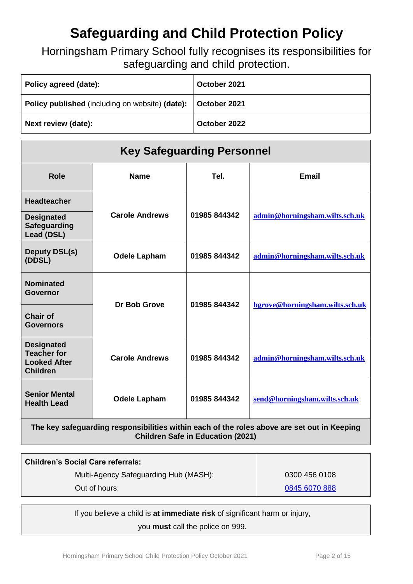# **Safeguarding and Child Protection Policy**

Horningsham Primary School fully recognises its responsibilities for safeguarding and child protection.

| Policy agreed (date):                                                 | October 2021 |
|-----------------------------------------------------------------------|--------------|
| <b>Policy published</b> (including on website) (date):   October 2021 |              |
| Next review (date):                                                   | October 2022 |

| <b>Key Safeguarding Personnel</b>                                                                   |                       |              |                                 |  |  |  |  |
|-----------------------------------------------------------------------------------------------------|-----------------------|--------------|---------------------------------|--|--|--|--|
| <b>Role</b>                                                                                         | <b>Name</b>           | Tel.         | <b>Email</b>                    |  |  |  |  |
| <b>Headteacher</b>                                                                                  |                       |              |                                 |  |  |  |  |
| <b>Designated</b><br><b>Safeguarding</b><br>Lead (DSL)                                              | <b>Carole Andrews</b> | 01985 844342 | admin@horningsham.wilts.sch.uk  |  |  |  |  |
| <b>Deputy DSL(s)</b><br>(DDSL)                                                                      | <b>Odele Lapham</b>   | 01985 844342 | admin@horningsham.wilts.sch.uk  |  |  |  |  |
| <b>Nominated</b><br><b>Governor</b>                                                                 | Dr Bob Grove          | 01985 844342 | bgrove@horningsham.wilts.sch.uk |  |  |  |  |
| <b>Chair of</b><br><b>Governors</b>                                                                 |                       |              |                                 |  |  |  |  |
| <b>Designated</b><br><b>Teacher for</b><br><b>Looked After</b><br><b>Children</b>                   | <b>Carole Andrews</b> | 01985 844342 | admin@horningsham.wilts.sch.uk  |  |  |  |  |
| <b>Senior Mental</b><br><b>Health Lead</b>                                                          | <b>Odele Lapham</b>   | 01985 844342 | send@horningsham.wilts.sch.uk   |  |  |  |  |
| والمتبدولون ومراوس وعافرهم وامعوا وبإعانات ومنافاتها<br>The best enforcement.<br>$\pm$ and in $\pm$ |                       |              |                                 |  |  |  |  |

**The key safeguarding responsibilities within each of the roles above are set out in Keeping Children Safe in Education (2021)**

| <b>Children's Social Care referrals:</b> |               |
|------------------------------------------|---------------|
| Multi-Agency Safeguarding Hub (MASH):    | 0300 456 0108 |
| Out of hours:                            | 0845 6070 888 |
|                                          |               |

If you believe a child is **at immediate risk** of significant harm or injury,

you **must** call the police on 999.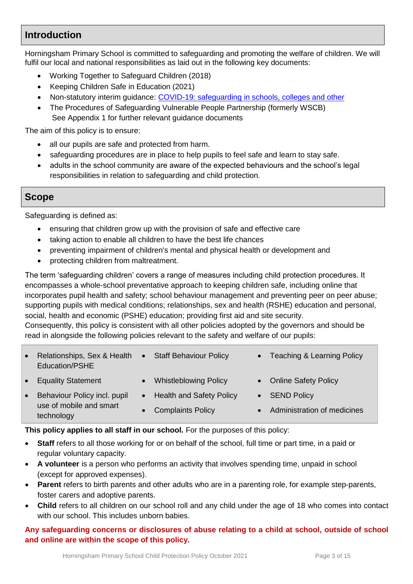# **Introduction**

Horningsham Primary School is committed to safeguarding and promoting the welfare of children. We will fulfil our local and national responsibilities as laid out in the following key documents:

- Working Together to Safeguard Children (2018)
- Keeping Children Safe in Education (2021)
- Non-statutory interim guidance: [COVID-19: safeguarding in schools, colleges and other](https://www.gov.uk/government/publications/covid-19-safeguarding-in-schools-colleges-and-other-providers/coronavirus-covid-19-safeguarding-in-schools-colleges-and-other-providers)
- [The Procedures of Safeguarding Vulnerable People Partnership \(formerly WSCB\)](http://www.proceduresonline.com/birmingham/scb/) See Appendix 1 for further relevant guidance documents

The aim of this policy is to ensure:

- all our pupils are safe and protected from harm.
- safeguarding procedures are in place to help pupils to feel safe and learn to stay safe.
- adults in the school community are aware of the expected behaviours and the school"s legal responsibilities in relation to safeguarding and child protection.

# **Scope**

Safeguarding is defined as:

- ensuring that children grow up with the provision of safe and effective care
- taking action to enable all children to have the best life chances
- preventing impairment of children's mental and physical health or development and
- protecting children from maltreatment.

The term "safeguarding children" covers a range of measures including child protection procedures. It encompasses a whole-school preventative approach to keeping children safe, including online that incorporates pupil health and safety; school behaviour management and preventing peer on peer abuse; supporting pupils with medical conditions; relationships, sex and health (RSHE) education and personal, social, health and economic (PSHE) education; providing first aid and site security.

Consequently, this policy is consistent with all other policies adopted by the governors and should be read in alongside the following policies relevant to the safety and welfare of our pupils:

| • Relationships, Sex & Health<br>Education/PSHE | $\bullet$ | <b>Staff Behaviour Policy</b> | • Teaching & Learning Policy |
|-------------------------------------------------|-----------|-------------------------------|------------------------------|
| • Equality Statement                            |           | <b>Whistleblowing Policy</b>  | • Online Safety Policy       |

- Behaviour Policy incl. pupil use of mobile and smart technology Health and Safety Policy
	- Complaints Policy

Administration of medicines

• SEND Policy

**This policy applies to all staff in our school.** For the purposes of this policy:

- **Staff** refers to all those working for or on behalf of the school, full time or part time, in a paid or regular voluntary capacity.
- **A volunteer** is a person who performs an activity that involves spending time, unpaid in school (except for approved expenses).
- **Parent** refers to birth parents and other adults who are in a parenting role, for example step-parents, foster carers and adoptive parents.
- **Child** refers to all children on our school roll and any child under the age of 18 who comes into contact with our school. This includes unborn babies.

#### **Any safeguarding concerns or disclosures of abuse relating to a child at school, outside of school and online are within the scope of this policy.**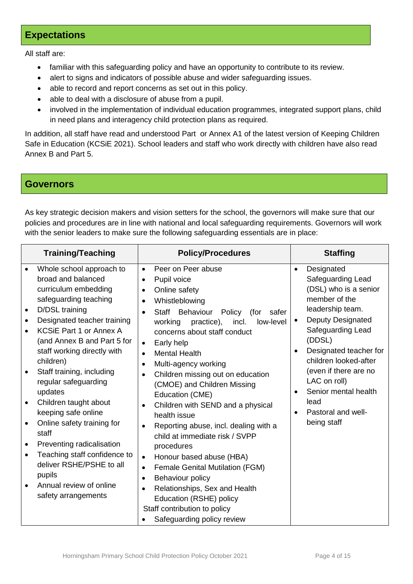# **Expectations**

All staff are:

- familiar with this safeguarding policy and have an opportunity to contribute to its review.
- alert to signs and indicators of possible abuse and wider safeguarding issues.
- able to record and report concerns as set out in this policy.
- able to deal with a disclosure of abuse from a pupil.
- involved in the implementation of individual education programmes, integrated support plans, child in need plans and interagency child protection plans as required.

In addition, all staff have read and understood Part or Annex A1 of the latest version of Keeping Children Safe in Education (KCSiE 2021). School leaders and staff who work directly with children have also read Annex B and Part 5.

## **Governors**

As key strategic decision makers and vision setters for the school, the governors will make sure that our policies and procedures are in line with national and local safeguarding requirements. Governors will work with the senior leaders to make sure the following safeguarding essentials are in place:

| <b>Training/Teaching</b>                                                                                                                                                                                                                                                                                                                                                                                                                                                                                                                                                                            | <b>Policy/Procedures</b>                                                                                                                                                                                                                                                                                                                                                                                                                                                                                                                                                                                                                                                                                                                                                                                                               | <b>Staffing</b>                                                                                                                                                                                                                                                                                                                                                             |  |
|-----------------------------------------------------------------------------------------------------------------------------------------------------------------------------------------------------------------------------------------------------------------------------------------------------------------------------------------------------------------------------------------------------------------------------------------------------------------------------------------------------------------------------------------------------------------------------------------------------|----------------------------------------------------------------------------------------------------------------------------------------------------------------------------------------------------------------------------------------------------------------------------------------------------------------------------------------------------------------------------------------------------------------------------------------------------------------------------------------------------------------------------------------------------------------------------------------------------------------------------------------------------------------------------------------------------------------------------------------------------------------------------------------------------------------------------------------|-----------------------------------------------------------------------------------------------------------------------------------------------------------------------------------------------------------------------------------------------------------------------------------------------------------------------------------------------------------------------------|--|
| Whole school approach to<br>broad and balanced<br>curriculum embedding<br>safeguarding teaching<br>D/DSL training<br>$\bullet$<br>Designated teacher training<br><b>KCSiE Part 1 or Annex A</b><br>(and Annex B and Part 5 for<br>staff working directly with<br>children)<br>Staff training, including<br>regular safeguarding<br>updates<br>Children taught about<br>keeping safe online<br>Online safety training for<br>staff<br>Preventing radicalisation<br>$\bullet$<br>Teaching staff confidence to<br>deliver RSHE/PSHE to all<br>pupils<br>Annual review of online<br>safety arrangements | Peer on Peer abuse<br>$\bullet$<br>Pupil voice<br>$\bullet$<br>Online safety<br>Whistleblowing<br>Staff Behaviour<br>Policy<br>(for<br>safer<br>working<br>practice),<br>incl.<br>low-level<br>concerns about staff conduct<br>Early help<br>$\bullet$<br><b>Mental Health</b><br>$\bullet$<br>Multi-agency working<br>Children missing out on education<br>(CMOE) and Children Missing<br>Education (CME)<br>Children with SEND and a physical<br>$\bullet$<br>health issue<br>Reporting abuse, incl. dealing with a<br>$\bullet$<br>child at immediate risk / SVPP<br>procedures<br>Honour based abuse (HBA)<br>$\bullet$<br>Female Genital Mutilation (FGM)<br>$\bullet$<br>Behaviour policy<br>$\bullet$<br>Relationships, Sex and Health<br>Education (RSHE) policy<br>Staff contribution to policy<br>Safeguarding policy review | Designated<br>$\bullet$<br>Safeguarding Lead<br>(DSL) who is a senior<br>member of the<br>leadership team.<br>Deputy Designated<br>٠<br>Safeguarding Lead<br>(DDSL)<br>Designated teacher for<br>$\bullet$<br>children looked-after<br>(even if there are no<br>LAC on roll)<br>Senior mental health<br>$\bullet$<br>lead<br>Pastoral and well-<br>$\bullet$<br>being staff |  |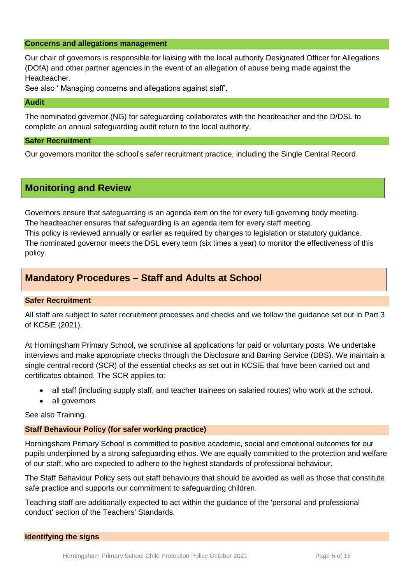#### **Concerns and allegations management**

Our chair of governors is responsible for liaising with the local authority Designated Officer for Allegations (DOfA) and other partner agencies in the event of an allegation of abuse being made against the Headteacher.

See also " Managing concerns and allegations against staff".

#### **Audit**

The nominated governor (NG) for safeguarding collaborates with the headteacher and the D/DSL to complete an annual safeguarding audit return to the local authority.

#### **Safer Recruitment**

Our governors monitor the school"s safer recruitment practice, including the Single Central Record.

## **Monitoring and Review**

Governors ensure that safeguarding is an agenda item on the for every full governing body meeting. The headteacher ensures that safeguarding is an agenda item for every staff meeting. This policy is reviewed annually or earlier as required by changes to legislation or statutory guidance. The nominated governor meets the DSL every term (six times a year) to monitor the effectiveness of this policy.

# **Mandatory Procedures – Staff and Adults at School**

#### **Safer Recruitment**

All staff are subject to safer recruitment processes and checks and we follow the guidance set out in Part 3 of KCSiE (2021).

At Horningsham Primary School, we scrutinise all applications for paid or voluntary posts. We undertake interviews and make appropriate checks through the Disclosure and Barring Service (DBS). We maintain a single central record (SCR) of the essential checks as set out in KCSiE that have been carried out and certificates obtained. The SCR applies to:

- all staff (including supply staff, and teacher trainees on salaried routes) who work at the school.
- all governors

#### See also Training.

#### **Staff Behaviour Policy (for safer working practice)**

Horningsham Primary School is committed to positive academic, social and emotional outcomes for our pupils underpinned by a strong safeguarding ethos. We are equally committed to the protection and welfare of our staff, who are expected to adhere to the highest standards of professional behaviour.

The Staff Behaviour Policy sets out staff behaviours that should be avoided as well as those that constitute safe practice and supports our commitment to safeguarding children.

Teaching staff are additionally expected to act within the guidance of the 'personal and professional conduct' section of the Teachers' Standards.

#### **Identifying the signs**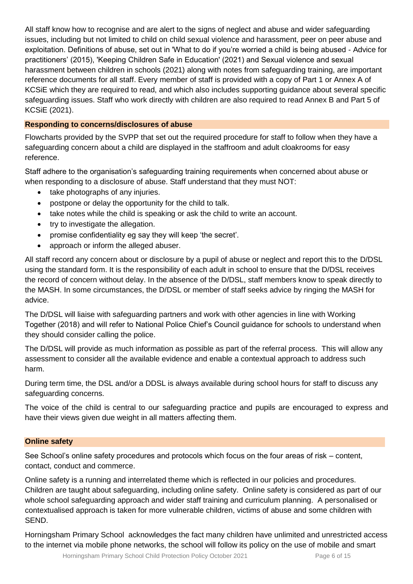All staff know how to recognise and are alert to the signs of neglect and abuse and wider safeguarding issues, including but not limited to child on child sexual violence and harassment, peer on peer abuse and exploitation. Definitions of abuse, set out in 'What to do if you"re worried a child is being abused - Advice for practitioners" (2015), 'Keeping Children Safe in Education' (2021) and Sexual violence and sexual harassment between children in schools (2021) along with notes from safeguarding training, are important reference documents for all staff. Every member of staff is provided with a copy of Part 1 or Annex A of KCSiE which they are required to read, and which also includes supporting guidance about several specific safeguarding issues. Staff who work directly with children are also required to read Annex B and Part 5 of KCSiE (2021).

#### **Responding to concerns/disclosures of abuse**

Flowcharts provided by the SVPP that set out the required procedure for staff to follow when they have a safeguarding concern about a child are displayed in the staffroom and adult cloakrooms for easy reference.

Staff adhere to the organisation"s safeguarding training requirements when concerned about abuse or when responding to a disclosure of abuse. Staff understand that they must NOT:

- take photographs of any injuries.
- postpone or delay the opportunity for the child to talk.
- take notes while the child is speaking or ask the child to write an account.
- try to investigate the allegation.
- promise confidentiality eg say they will keep 'the secret'.
- approach or inform the alleged abuser.

All staff record any concern about or disclosure by a pupil of abuse or neglect and report this to the D/DSL using the standard form. It is the responsibility of each adult in school to ensure that the D/DSL receives the record of concern without delay. In the absence of the D/DSL, staff members know to speak directly to the MASH. In some circumstances, the D/DSL or member of staff seeks advice by ringing the MASH for advice.

The D/DSL will liaise with safeguarding partners and work with other agencies in line with Working Together (2018) and will refer to National Police Chief"s Council guidance for schools to understand when they should consider calling the police.

The D/DSL will provide as much information as possible as part of the referral process. This will allow any assessment to consider all the available evidence and enable a contextual approach to address such harm.

During term time, the DSL and/or a DDSL is always available during school hours for staff to discuss any safeguarding concerns.

The voice of the child is central to our safeguarding practice and pupils are encouraged to express and have their views given due weight in all matters affecting them.

#### **Online safety**

See School's online safety procedures and protocols which focus on the four areas of risk – content, contact, conduct and commerce.

Online safety is a running and interrelated theme which is reflected in our policies and procedures. Children are taught about safeguarding, including online safety. Online safety is considered as part of our whole school safeguarding approach and wider staff training and curriculum planning. A personalised or contextualised approach is taken for more vulnerable children, victims of abuse and some children with SEND.

Horningsham Primary School acknowledges the fact many children have unlimited and unrestricted access to the internet via mobile phone networks, the school will follow its policy on the use of mobile and smart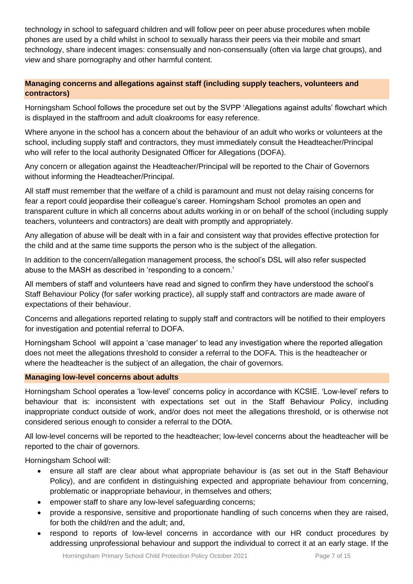technology in school to safeguard children and will follow peer on peer abuse procedures when mobile phones are used by a child whilst in school to sexually harass their peers via their mobile and smart technology, share indecent images: consensually and non-consensually (often via large chat groups), and view and share pornography and other harmful content.

#### **Managing concerns and allegations against staff (including supply teachers, volunteers and contractors)**

Horningsham School follows the procedure set out by the SVPP "Allegations against adults" flowchart which is displayed in the staffroom and adult cloakrooms for easy reference.

Where anyone in the school has a concern about the behaviour of an adult who works or volunteers at the school, including supply staff and contractors, they must immediately consult the Headteacher/Principal who will refer to the local authority Designated Officer for Allegations (DOFA).

Any concern or allegation against the Headteacher/Principal will be reported to the Chair of Governors without informing the Headteacher/Principal.

All staff must remember that the welfare of a child is paramount and must not delay raising concerns for fear a report could jeopardise their colleague"s career. Horningsham School promotes an open and transparent culture in which all concerns about adults working in or on behalf of the school (including supply teachers, volunteers and contractors) are dealt with promptly and appropriately.

Any allegation of abuse will be dealt with in a fair and consistent way that provides effective protection for the child and at the same time supports the person who is the subject of the allegation.

In addition to the concern/allegation management process, the school"s DSL will also refer suspected abuse to the MASH as described in "responding to a concern."

All members of staff and volunteers have read and signed to confirm they have understood the school"s Staff Behaviour Policy (for safer working practice), all supply staff and contractors are made aware of expectations of their behaviour.

Concerns and allegations reported relating to supply staff and contractors will be notified to their employers for investigation and potential referral to DOFA.

Horningsham School will appoint a "case manager" to lead any investigation where the reported allegation does not meet the allegations threshold to consider a referral to the DOFA. This is the headteacher or where the headteacher is the subject of an allegation, the chair of governors.

#### **Managing low-level concerns about adults**

Horningsham School operates a "low-level" concerns policy in accordance with KCSIE. "Low-level" refers to behaviour that is: inconsistent with expectations set out in the Staff Behaviour Policy, including inappropriate conduct outside of work, and/or does not meet the allegations threshold, or is otherwise not considered serious enough to consider a referral to the DOfA.

All low-level concerns will be reported to the headteacher; low-level concerns about the headteacher will be reported to the chair of governors.

Horningsham School will:

- ensure all staff are clear about what appropriate behaviour is (as set out in the Staff Behaviour Policy), and are confident in distinguishing expected and appropriate behaviour from concerning, problematic or inappropriate behaviour, in themselves and others;
- empower staff to share any low-level safeguarding concerns;
- provide a responsive, sensitive and proportionate handling of such concerns when they are raised, for both the child/ren and the adult; and,
- respond to reports of low-level concerns in accordance with our HR conduct procedures by addressing unprofessional behaviour and support the individual to correct it at an early stage. If the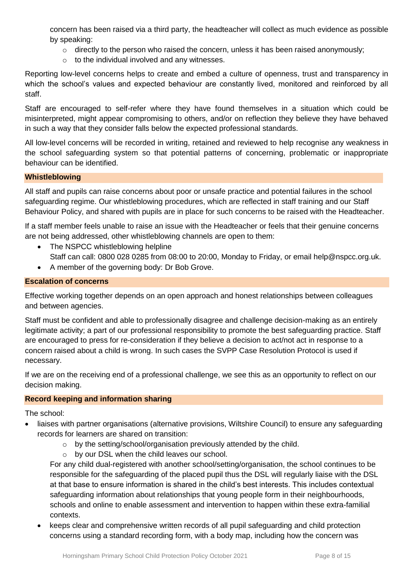concern has been raised via a third party, the headteacher will collect as much evidence as possible by speaking:

- o directly to the person who raised the concern, unless it has been raised anonymously;
- o to the individual involved and any witnesses.

Reporting low-level concerns helps to create and embed a culture of openness, trust and transparency in which the school's values and expected behaviour are constantly lived, monitored and reinforced by all staff.

Staff are encouraged to self-refer where they have found themselves in a situation which could be misinterpreted, might appear compromising to others, and/or on reflection they believe they have behaved in such a way that they consider falls below the expected professional standards.

All low-level concerns will be recorded in writing, retained and reviewed to help recognise any weakness in the school safeguarding system so that potential patterns of concerning, problematic or inappropriate behaviour can be identified.

#### **Whistleblowing**

All staff and pupils can raise concerns about poor or unsafe practice and potential failures in the school safeguarding regime. Our whistleblowing procedures, which are reflected in staff training and our Staff Behaviour Policy, and shared with pupils are in place for such concerns to be raised with the Headteacher.

If a staff member feels unable to raise an issue with the Headteacher or feels that their genuine concerns are not being addressed, other whistleblowing channels are open to them:

- The NSPCC whistleblowing helpline Staff can call: 0800 028 0285 from 08:00 to 20:00, Monday to Friday, or email help@nspcc.org.uk.
- A member of the governing body: Dr Bob Grove.

#### **Escalation of concerns**

Effective working together depends on an open approach and honest relationships between colleagues and between agencies.

Staff must be confident and able to professionally disagree and challenge decision-making as an entirely legitimate activity; a part of our professional responsibility to promote the best safeguarding practice. Staff are encouraged to press for re-consideration if they believe a decision to act/not act in response to a concern raised about a child is wrong. In such cases the SVPP Case Resolution Protocol is used if necessary.

If we are on the receiving end of a professional challenge, we see this as an opportunity to reflect on our decision making.

#### **Record keeping and information sharing**

The school:

- liaises with partner organisations (alternative provisions, Wiltshire Council) to ensure any safeguarding records for learners are shared on transition:
	- o by the setting/school/organisation previously attended by the child.
	- o by our DSL when the child leaves our school.

For any child dual-registered with another school/setting/organisation, the school continues to be responsible for the safeguarding of the placed pupil thus the DSL will regularly liaise with the DSL at that base to ensure information is shared in the child"s best interests. This includes contextual safeguarding information about relationships that young people form in their neighbourhoods, schools and online to enable assessment and intervention to happen within these extra-familial contexts.

 keeps clear and comprehensive written records of all pupil safeguarding and child protection concerns using a standard recording form, with a body map, including how the concern was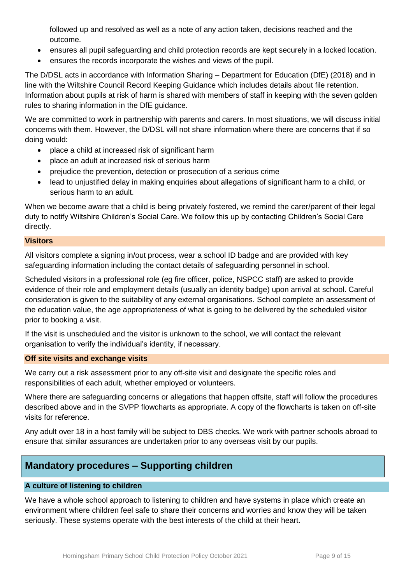followed up and resolved as well as a note of any action taken, decisions reached and the outcome.

- ensures all pupil safeguarding and child protection records are kept securely in a locked location.
- ensures the records incorporate the wishes and views of the pupil.

The D/DSL acts in accordance with Information Sharing – Department for Education (DfE) (2018) and in line with the Wiltshire Council Record Keeping Guidance which includes details about file retention. Information about pupils at risk of harm is shared with members of staff in keeping with the seven golden rules to sharing information in the DfE guidance.

We are committed to work in partnership with parents and carers. In most situations, we will discuss initial concerns with them. However, the D/DSL will not share information where there are concerns that if so doing would:

- place a child at increased risk of significant harm
- place an adult at increased risk of serious harm
- prejudice the prevention, detection or prosecution of a serious crime
- lead to unjustified delay in making enquiries about allegations of significant harm to a child, or serious harm to an adult.

When we become aware that a child is being privately fostered, we remind the carer/parent of their legal duty to notify Wiltshire Children"s Social Care. We follow this up by contacting Children"s Social Care directly.

#### **Visitors**

All visitors complete a signing in/out process, wear a school ID badge and are provided with key safeguarding information including the contact details of safeguarding personnel in school.

Scheduled visitors in a professional role (eg fire officer, police, NSPCC staff) are asked to provide evidence of their role and employment details (usually an identity badge) upon arrival at school. Careful consideration is given to the suitability of any external organisations. School complete an assessment of the education value, the age appropriateness of what is going to be delivered by the scheduled visitor prior to booking a visit.

If the visit is unscheduled and the visitor is unknown to the school, we will contact the relevant organisation to verify the individual"s identity, if necessary.

#### **Off site visits and exchange visits**

We carry out a risk assessment prior to any off-site visit and designate the specific roles and responsibilities of each adult, whether employed or volunteers.

Where there are safeguarding concerns or allegations that happen offsite, staff will follow the procedures described above and in the SVPP flowcharts as appropriate. A copy of the flowcharts is taken on off-site visits for reference.

Any adult over 18 in a host family will be subject to DBS checks. We work with partner schools abroad to ensure that similar assurances are undertaken prior to any overseas visit by our pupils.

# **Mandatory procedures – Supporting children**

#### **A culture of listening to children**

We have a whole school approach to listening to children and have systems in place which create an environment where children feel safe to share their concerns and worries and know they will be taken seriously. These systems operate with the best interests of the child at their heart.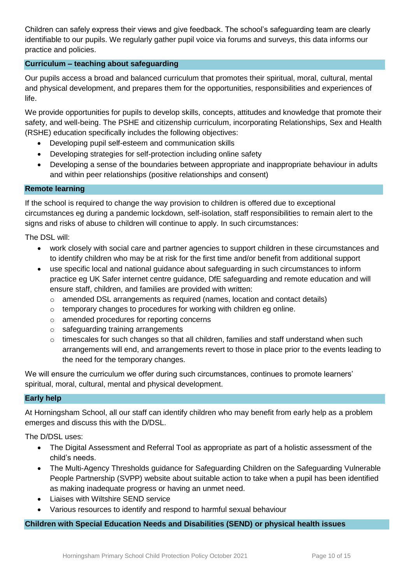Children can safely express their views and give feedback. The school"s safeguarding team are clearly identifiable to our pupils. We regularly gather pupil voice via forums and surveys, this data informs our practice and policies.

#### **Curriculum – teaching about safeguarding**

Our pupils access a broad and balanced curriculum that promotes their spiritual, moral, cultural, mental and physical development, and prepares them for the opportunities, responsibilities and experiences of life.

We provide opportunities for pupils to develop skills, concepts, attitudes and knowledge that promote their safety, and well-being. The PSHE and citizenship curriculum, incorporating Relationships, Sex and Health (RSHE) education specifically includes the following objectives:

- Developing pupil self-esteem and communication skills
- Developing strategies for self-protection including online safety
- Developing a sense of the boundaries between appropriate and inappropriate behaviour in adults and within peer relationships (positive relationships and consent)

#### **Remote learning**

If the school is required to change the way provision to children is offered due to exceptional circumstances eg during a pandemic lockdown, self-isolation, staff responsibilities to remain alert to the signs and risks of abuse to children will continue to apply. In such circumstances:

The DSL will:

- work closely with social care and partner agencies to support children in these circumstances and to identify children who may be at risk for the first time and/or benefit from additional support
- use specific local and national guidance about safeguarding in such circumstances to inform practice eg UK Safer internet centre guidance, DfE safeguarding and remote education and will ensure staff, children, and families are provided with written:
	- o amended DSL arrangements as required (names, location and contact details)
	- o temporary changes to procedures for working with children eg online.
	- o amended procedures for reporting concerns
	- o safeguarding training arrangements
	- $\circ$  timescales for such changes so that all children, families and staff understand when such arrangements will end, and arrangements revert to those in place prior to the events leading to the need for the temporary changes.

We will ensure the curriculum we offer during such circumstances, continues to promote learners' spiritual, moral, cultural, mental and physical development.

#### **Early help**

At Horningsham School, all our staff can identify children who may benefit from early help as a problem emerges and discuss this with the D/DSL.

The D/DSL uses:

- The Digital Assessment and Referral Tool as appropriate as part of a holistic assessment of the child"s needs.
- The Multi-Agency Thresholds guidance for Safeguarding Children on the Safeguarding Vulnerable People Partnership (SVPP) website about suitable action to take when a pupil has been identified as making inadequate progress or having an unmet need.
- Liaises with Wiltshire SEND service
- Various resources to identify and respond to harmful sexual behaviour

#### **Children with Special Education Needs and Disabilities (SEND) or physical health issues**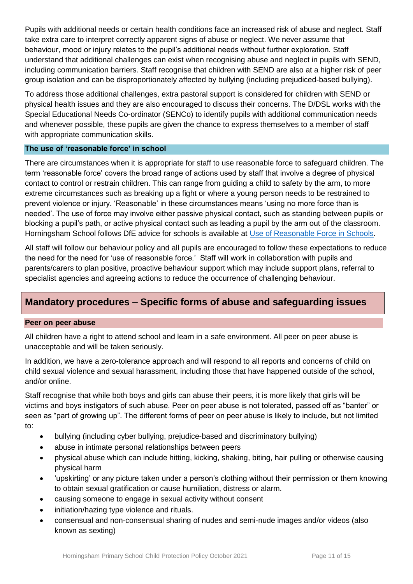Pupils with additional needs or certain health conditions face an increased risk of abuse and neglect. Staff take extra care to interpret correctly apparent signs of abuse or neglect. We never assume that behaviour, mood or injury relates to the pupil"s additional needs without further exploration. Staff understand that additional challenges can exist when recognising abuse and neglect in pupils with SEND, including communication barriers. Staff recognise that children with SEND are also at a higher risk of peer group isolation and can be disproportionately affected by bullying (including prejudiced-based bullying).

To address those additional challenges, extra pastoral support is considered for children with SEND or physical health issues and they are also encouraged to discuss their concerns. The D/DSL works with the Special Educational Needs Co-ordinator (SENCo) to identify pupils with additional communication needs and whenever possible, these pupils are given the chance to express themselves to a member of staff with appropriate communication skills.

#### **The use of 'reasonable force' in school**

There are circumstances when it is appropriate for staff to use reasonable force to safeguard children. The term "reasonable force" covers the broad range of actions used by staff that involve a degree of physical contact to control or restrain children. This can range from guiding a child to safety by the arm, to more extreme circumstances such as breaking up a fight or where a young person needs to be restrained to prevent violence or injury. 'Reasonable' in these circumstances means 'using no more force than is needed". The use of force may involve either passive physical contact, such as standing between pupils or blocking a pupil"s path, or active physical contact such as leading a pupil by the arm out of the classroom. Horningsham School follows DfE advice for schools is available at [Use of Reasonable Force in Schools.](https://assets.publishing.service.gov.uk/government/uploads/system/uploads/attachment_data/file/444051/Use_of_reasonable_force_advice_Reviewed_July_2015.pdf)

All staff will follow our behaviour policy and all pupils are encouraged to follow these expectations to reduce the need for the need for "use of reasonable force." Staff will work in collaboration with pupils and parents/carers to plan positive, proactive behaviour support which may include support plans, referral to specialist agencies and agreeing actions to reduce the occurrence of challenging behaviour.

# **Mandatory procedures – Specific forms of abuse and safeguarding issues**

#### **Peer on peer abuse**

All children have a right to attend school and learn in a safe environment. All peer on peer abuse is unacceptable and will be taken seriously.

In addition, we have a zero-tolerance approach and will respond to all reports and concerns of child on child sexual violence and sexual harassment, including those that have happened outside of the school, and/or online.

Staff recognise that while both boys and girls can abuse their peers, it is more likely that girls will be victims and boys instigators of such abuse. Peer on peer abuse is not tolerated, passed off as "banter" or seen as "part of growing up". The different forms of peer on peer abuse is likely to include, but not limited to:

- bullying (including cyber bullying, prejudice-based and discriminatory bullying)
- abuse in intimate personal relationships between peers
- physical abuse which can include hitting, kicking, shaking, biting, hair pulling or otherwise causing physical harm
- 'upskirting' or any picture taken under a person's clothing without their permission or them knowing to obtain sexual gratification or cause humiliation, distress or alarm.
- causing someone to engage in sexual activity without consent
- initiation/hazing type violence and rituals.
- consensual and non-consensual sharing of nudes and semi-nude images and/or videos (also known as sexting)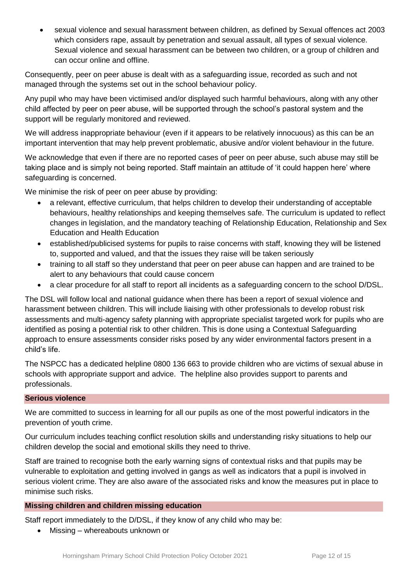sexual violence and sexual harassment between children, as defined by Sexual offences act 2003 which considers rape, assault by penetration and sexual assault, all types of sexual violence. Sexual violence and sexual harassment can be between two children, or a group of children and can occur online and offline.

Consequently, peer on peer abuse is dealt with as a safeguarding issue, recorded as such and not managed through the systems set out in the school behaviour policy.

Any pupil who may have been victimised and/or displayed such harmful behaviours, along with any other child affected by peer on peer abuse, will be supported through the school"s pastoral system and the support will be regularly monitored and reviewed.

We will address inappropriate behaviour (even if it appears to be relatively innocuous) as this can be an important intervention that may help prevent problematic, abusive and/or violent behaviour in the future.

We acknowledge that even if there are no reported cases of peer on peer abuse, such abuse may still be taking place and is simply not being reported. Staff maintain an attitude of "it could happen here" where safeguarding is concerned.

We minimise the risk of peer on peer abuse by providing:

- a relevant, effective curriculum, that helps children to develop their understanding of acceptable behaviours, healthy relationships and keeping themselves safe. The curriculum is updated to reflect changes in legislation, and the mandatory teaching of Relationship Education, Relationship and Sex Education and Health Education
- established/publicised systems for pupils to raise concerns with staff, knowing they will be listened to, supported and valued, and that the issues they raise will be taken seriously
- training to all staff so they understand that peer on peer abuse can happen and are trained to be alert to any behaviours that could cause concern
- a clear procedure for all staff to report all incidents as a safeguarding concern to the school D/DSL.

The DSL will follow local and national guidance when there has been a report of sexual violence and harassment between children. This will include liaising with other professionals to develop robust risk assessments and multi-agency safety planning with appropriate specialist targeted work for pupils who are identified as posing a potential risk to other children. This is done using a Contextual Safeguarding approach to ensure assessments consider risks posed by any wider environmental factors present in a child"s life.

The NSPCC has a dedicated helpline 0800 136 663 to provide children who are victims of sexual abuse in schools with appropriate support and advice. The helpline also provides support to parents and professionals.

#### **Serious violence**

We are committed to success in learning for all our pupils as one of the most powerful indicators in the prevention of youth crime.

Our curriculum includes teaching conflict resolution skills and understanding risky situations to help our children develop the social and emotional skills they need to thrive.

Staff are trained to recognise both the early warning signs of contextual risks and that pupils may be vulnerable to exploitation and getting involved in gangs as well as indicators that a pupil is involved in serious violent crime. They are also aware of the associated risks and know the measures put in place to minimise such risks.

#### **Missing children and children missing education**

Staff report immediately to the D/DSL, if they know of any child who may be:

• Missing – whereabouts unknown or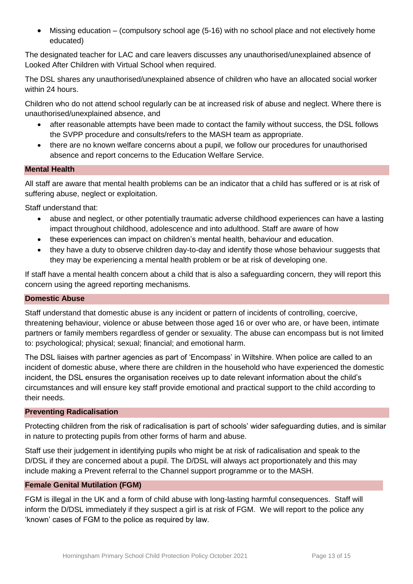Missing education – (compulsory school age (5-16) with no school place and not electively home educated)

The designated teacher for LAC and care leavers discusses any unauthorised/unexplained absence of Looked After Children with Virtual School when required.

The DSL shares any unauthorised/unexplained absence of children who have an allocated social worker within 24 hours.

Children who do not attend school regularly can be at increased risk of abuse and neglect. Where there is unauthorised/unexplained absence, and

- after reasonable attempts have been made to contact the family without success, the DSL follows the SVPP procedure and consults/refers to the MASH team as appropriate.
- there are no known welfare concerns about a pupil, we follow our procedures for unauthorised absence and report concerns to the Education Welfare Service.

#### **Mental Health**

All staff are aware that mental health problems can be an indicator that a child has suffered or is at risk of suffering abuse, neglect or exploitation.

Staff understand that:

- abuse and neglect, or other potentially traumatic adverse childhood experiences can have a lasting impact throughout childhood, adolescence and into adulthood. Staff are aware of how
- these experiences can impact on children"s mental health, behaviour and education.
- they have a duty to observe children day-to-day and identify those whose behaviour suggests that they may be experiencing a mental health problem or be at risk of developing one.

If staff have a mental health concern about a child that is also a safeguarding concern, they will report this concern using the agreed reporting mechanisms.

#### **Domestic Abuse**

Staff understand that domestic abuse is any incident or pattern of incidents of controlling, coercive, threatening behaviour, violence or abuse between those aged 16 or over who are, or have been, intimate partners or family members regardless of gender or sexuality. The abuse can encompass but is not limited to: psychological; physical; sexual; financial; and emotional harm.

The DSL liaises with partner agencies as part of "Encompass" in Wiltshire. When police are called to an incident of domestic abuse, where there are children in the household who have experienced the domestic incident, the DSL ensures the organisation receives up to date relevant information about the child"s circumstances and will ensure key staff provide emotional and practical support to the child according to their needs.

#### **Preventing Radicalisation**

Protecting children from the risk of radicalisation is part of schools" wider safeguarding duties, and is similar in nature to protecting pupils from other forms of harm and abuse.

Staff use their judgement in identifying pupils who might be at risk of radicalisation and speak to the D/DSL if they are concerned about a pupil. The D/DSL will always act proportionately and this may include making a Prevent referral to the Channel support programme or to the MASH.

#### **Female Genital Mutilation (FGM)**

FGM is illegal in the UK and a form of child abuse with long-lasting harmful consequences. Staff will inform the D/DSL immediately if they suspect a girl is at risk of FGM. We will report to the police any 'known' cases of FGM to the police as required by law.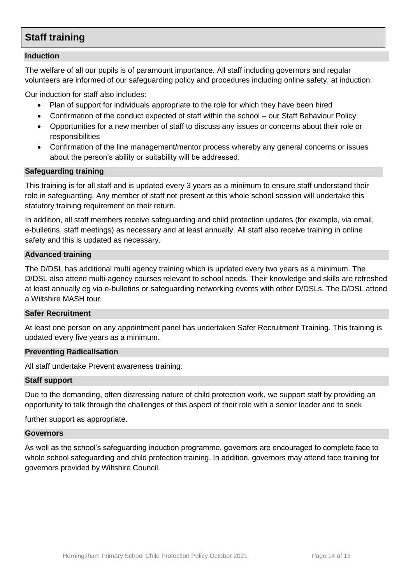# **Staff training**

#### **Induction**

The welfare of all our pupils is of paramount importance. All staff including governors and regular volunteers are informed of our safeguarding policy and procedures including online safety, at induction.

Our induction for staff also includes:

- Plan of support for individuals appropriate to the role for which they have been hired
- Confirmation of the conduct expected of staff within the school our Staff Behaviour Policy
- Opportunities for a new member of staff to discuss any issues or concerns about their role or responsibilities
- Confirmation of the line management/mentor process whereby any general concerns or issues about the person"s ability or suitability will be addressed.

#### **Safeguarding training**

This training is for all staff and is updated every 3 years as a minimum to ensure staff understand their role in safeguarding. Any member of staff not present at this whole school session will undertake this statutory training requirement on their return.

In addition, all staff members receive safeguarding and child protection updates (for example, via email, e-bulletins, staff meetings) as necessary and at least annually. All staff also receive training in online safety and this is updated as necessary.

#### **Advanced training**

The D/DSL has additional multi agency training which is updated every two years as a minimum. The D/DSL also attend multi-agency courses relevant to school needs. Their knowledge and skills are refreshed at least annually eg via e-bulletins or safeguarding networking events with other D/DSLs. The D/DSL attend a Wiltshire MASH tour.

#### **Safer Recruitment**

At least one person on any appointment panel has undertaken Safer Recruitment Training. This training is updated every five years as a minimum.

#### **Preventing Radicalisation**

All staff undertake Prevent awareness training.

#### **Staff support**

Due to the demanding, often distressing nature of child protection work, we support staff by providing an opportunity to talk through the challenges of this aspect of their role with a senior leader and to seek

further support as appropriate.

#### **Governors**

As well as the school"s safeguarding induction programme, governors are encouraged to complete face to whole school safeguarding and child protection training. In addition, governors may attend face training for governors provided by Wiltshire Council.